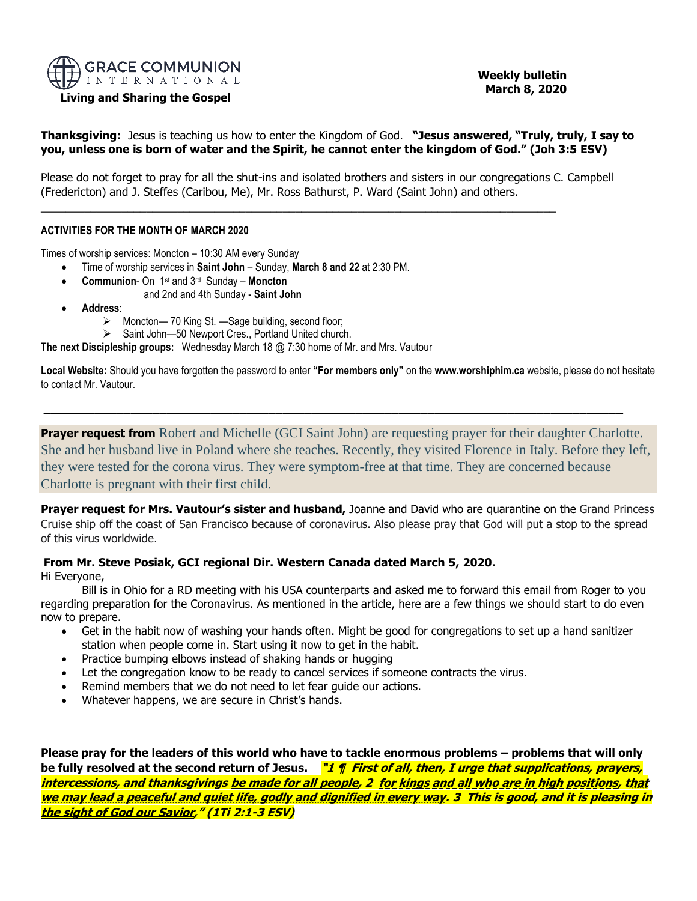

#### **Living and Sharing the Gospel**

 **Weekly bulletin March 8, 2020** 

**Thanksgiving:** Jesus is teaching us how to enter the Kingdom of God. **"Jesus answered, "Truly, truly, I say to you, unless one is born of water and the Spirit, he cannot enter the kingdom of God." (Joh 3:5 ESV)**

Please do not forget to pray for all the shut-ins and isolated brothers and sisters in our congregations C. Campbell (Fredericton) and J. Steffes (Caribou, Me), Mr. Ross Bathurst, P. Ward (Saint John) and others.

\_\_\_\_\_\_\_\_\_\_\_\_\_\_\_\_\_\_\_\_\_\_\_\_\_\_\_\_\_\_\_\_\_\_\_\_\_\_\_\_\_\_\_\_\_\_\_\_\_\_\_\_\_\_\_\_\_\_\_\_\_\_\_\_\_\_\_\_\_\_\_\_\_\_\_\_\_\_\_\_\_\_\_

#### **ACTIVITIES FOR THE MONTH OF MARCH 2020**

Times of worship services: Moncton – 10:30 AM every Sunday

- Time of worship services in **Saint John** Sunday, **March 8 and 22** at 2:30 PM.
- **Communion** On 1 st and 3 rd Sunday **Moncton**
	- and 2nd and 4th Sunday **Saint John**
- **Address**:
	- ➢ Moncton— 70 King St. —Sage building, second floor;
	- ➢ Saint John—50 Newport Cres., Portland United church.

**The next Discipleship groups:** Wednesday March 18 @ 7:30 home of Mr. and Mrs. Vautour

**Local Website:** Should you have forgotten the password to enter **"For members only"** on the **www.worshiphim.ca** website, please do not hesitate to contact Mr. Vautour.

**\_\_\_\_\_\_\_\_\_\_\_\_\_\_\_\_\_\_\_\_\_\_\_\_\_\_\_\_\_\_\_\_\_\_\_\_\_\_\_\_\_\_\_\_\_\_\_\_\_\_\_\_\_\_\_\_\_\_\_\_\_\_\_\_\_\_\_\_\_\_\_\_\_\_\_\_\_\_\_\_**

**Prayer request from** Robert and Michelle (GCI Saint John) are requesting prayer for their daughter Charlotte. She and her husband live in Poland where she teaches. Recently, they visited Florence in Italy. Before they left, they were tested for the corona virus. They were symptom-free at that time. They are concerned because Charlotte is pregnant with their first child.

**Prayer request for Mrs. Vautour's sister and husband,** Joanne and David who are quarantine on the Grand Princess Cruise ship off the coast of San Francisco because of coronavirus. Also please pray that God will put a stop to the spread of this virus worldwide.

# **From Mr. Steve Posiak, GCI regional Dir. Western Canada dated March 5, 2020.**

Hi Everyone,

Bill is in Ohio for a RD meeting with his USA counterparts and asked me to forward this email from Roger to you regarding preparation for the Coronavirus. As mentioned in the article, here are a few things we should start to do even now to prepare.

- Get in the habit now of washing your hands often. Might be good for congregations to set up a hand sanitizer station when people come in. Start using it now to get in the habit.
- Practice bumping elbows instead of shaking hands or hugging
- Let the congregation know to be ready to cancel services if someone contracts the virus.
- Remind members that we do not need to let fear guide our actions.
- Whatever happens, we are secure in Christ's hands.

**Please pray for the leaders of this world who have to tackle enormous problems – problems that will only be fully resolved at the second return of Jesus. "1 ¶ First of all, then, I urge that supplications, prayers, intercessions, and thanksgivings be made for all people, 2 for kings and all who are in high positions, that we may lead a peaceful and quiet life, godly and dignified in every way. 3 This is good, and it is pleasing in the sight of God our Savior," (1Ti 2:1-3 ESV)**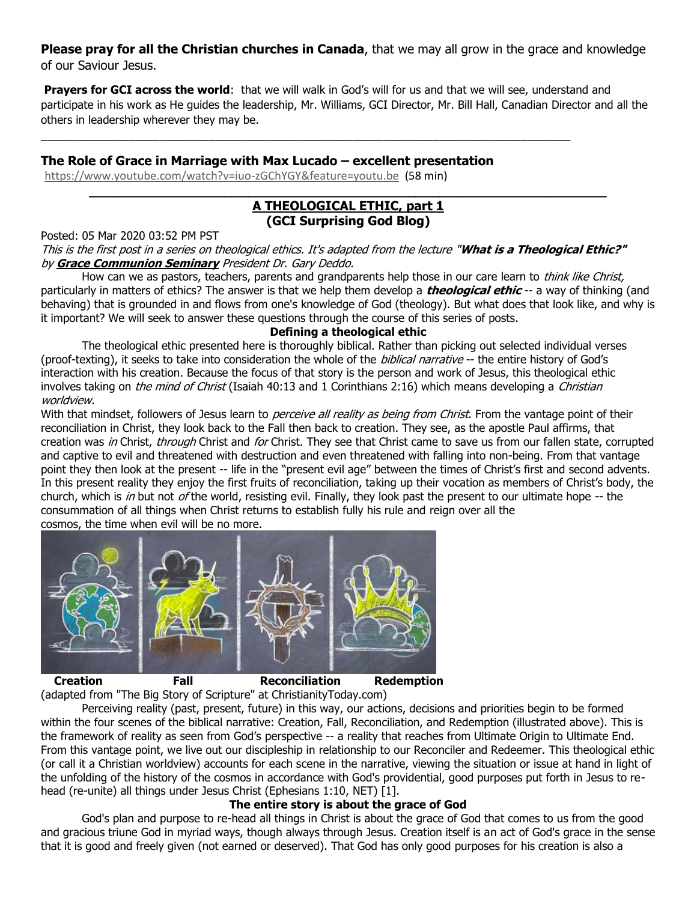**Please pray for all the Christian churches in Canada**, that we may all grow in the grace and knowledge of our Saviour Jesus.

**Prayers for GCI across the world**: that we will walk in God's will for us and that we will see, understand and participate in his work as He guides the leadership, Mr. Williams, GCI Director, Mr. Bill Hall, Canadian Director and all the others in leadership wherever they may be.

## **The Role of Grace in Marriage with Max Lucado – excellent presentation**

\_\_\_\_\_\_\_\_\_\_\_\_\_\_\_\_\_\_\_\_\_\_\_\_\_\_\_\_\_\_\_\_\_\_\_\_\_\_\_\_\_\_\_\_\_\_\_\_\_\_\_\_\_\_\_\_\_\_\_\_\_\_\_\_\_\_\_\_\_\_\_\_\_\_\_\_\_\_\_\_\_\_\_\_\_

<https://www.youtube.com/watch?v=iuo-zGChYGY&feature=youtu.be>(58 min)

## **\_\_\_\_\_\_\_\_\_\_\_\_\_\_\_\_\_\_\_\_\_\_\_\_\_\_\_\_\_\_\_\_\_\_\_\_\_\_\_\_\_\_\_\_\_\_\_\_\_\_\_\_\_\_\_\_\_\_\_\_\_\_\_\_\_ [A THEOLOGICAL ETHIC,](https://nam04.safelinks.protection.outlook.com/?url=http:%2F%2Ffeedproxy.google.com%2F~r%2Fgci%2FzGUy%2F~3%2FESBIsYJgOIg%2Ftheological-ethic-1.html%3Futm_source%3Dfeedburner%26utm_medium%3Demail&data=02%7C01%7C%7C564864a839a54ff3336a08d7c1b2ea41%7C84df9e7fe9f640afb435aaaaaaaaaaaa%7C1%7C0%7C637190846482491119&sdata=7pvWY6AvC%2F0zl74qmOaGINQcNJozGUfIM%2FtiWcjXH9g%3D&reserved=0) part 1 (GCI Surprising God Blog)**

Posted: 05 Mar 2020 03:52 PM PST

This is the first post in a series on theological ethics. It's adapted from the lecture "**What is a Theological Ethic?"** by **[Grace Communion Seminary](https://nam04.safelinks.protection.outlook.com/?url=https%3A%2F%2Fwww.gcs.edu%2F&data=02%7C01%7C%7C564864a839a54ff3336a08d7c1b2ea41%7C84df9e7fe9f640afb435aaaaaaaaaaaa%7C1%7C0%7C637190846482501110&sdata=ciEXxNTNiKR3NCR2aFle4sQOzAhjMJI4rh6ohbGahRQ%3D&reserved=0)** President Dr. Gary Deddo.

How can we as pastors, teachers, parents and grandparents help those in our care learn to *think like Christ*, particularly in matters of ethics? The answer is that we help them develop a **theological ethic** -- a way of thinking (and behaving) that is grounded in and flows from one's knowledge of God (theology). But what does that look like, and why is it important? We will seek to answer these questions through the course of this series of posts.

## **Defining a theological ethic**

The theological ethic presented here is thoroughly biblical. Rather than picking out selected individual verses (proof-texting), it seeks to take into consideration the whole of the *biblical narrative* -- the entire history of God's interaction with his creation. Because the focus of that story is the person and work of Jesus, this theological ethic involves taking on *the mind of Christ* (Isaiah 40:13 and 1 Corinthians 2:16) which means developing a *Christian* worldview.

With that mindset, followers of Jesus learn to *perceive all reality as being from Christ*. From the vantage point of their reconciliation in Christ, they look back to the Fall then back to creation. They see, as the apostle Paul affirms, that creation was in Christ, through Christ and for Christ. They see that Christ came to save us from our fallen state, corrupted and captive to evil and threatened with destruction and even threatened with falling into non-being. From that vantage point they then look at the present -- life in the "present evil age" between the times of Christ's first and second advents. In this present reality they enjoy the first fruits of reconciliation, taking up their vocation as members of Christ's body, the church, which is in but not of the world, resisting evil. Finally, they look past the present to our ultimate hope  $-$  the consummation of all things when Christ returns to establish fully his rule and reign over all the [cosmos, the time when evil will be no more.](https://nam04.safelinks.protection.outlook.com/?url=https%3A%2F%2F1.bp.blogspot.com%2F-ftxovJCYw1w%2FXlu4jrmb4GI%2FAAAAAAAAEi0%2FhFGMQwUM7CUULtH3uPE4AY119uikccqtgCLcBGAsYHQ%2Fs1600%2F10042.png&data=02%7C01%7C%7C564864a839a54ff3336a08d7c1b2ea41%7C84df9e7fe9f640afb435aaaaaaaaaaaa%7C1%7C0%7C637190846482511085&sdata=tz6io09OVT07OMjMj2BgVlR8hhbuRLqG88YEj8OeUjI%3D&reserved=0)



**Creation Fall Reconciliation Redemption**

(adapted from "The Big Story of Scripture" at ChristianityToday.com) Perceiving reality (past, present, future) in this way, our actions, decisions and priorities begin to be formed within the four scenes of the biblical narrative: Creation, Fall, Reconciliation, and Redemption (illustrated above). This is the framework of reality as seen from God's perspective -- a reality that reaches from Ultimate Origin to Ultimate End. From this vantage point, we live out our discipleship in relationship to our Reconciler and Redeemer. This theological ethic (or call it a Christian worldview) accounts for each scene in the narrative, viewing the situation or issue at hand in light of the unfolding of the history of the cosmos in accordance with God's providential, good purposes put forth in Jesus to rehead (re-unite) all things under Jesus Christ (Ephesians 1:10, NET) [1].

### **The entire story is about the grace of God**

God's plan and purpose to re-head all things in Christ is about the grace of God that comes to us from the good and gracious triune God in myriad ways, though always through Jesus. Creation itself is an act of God's grace in the sense that it is good and freely given (not earned or deserved). That God has only good purposes for his creation is also a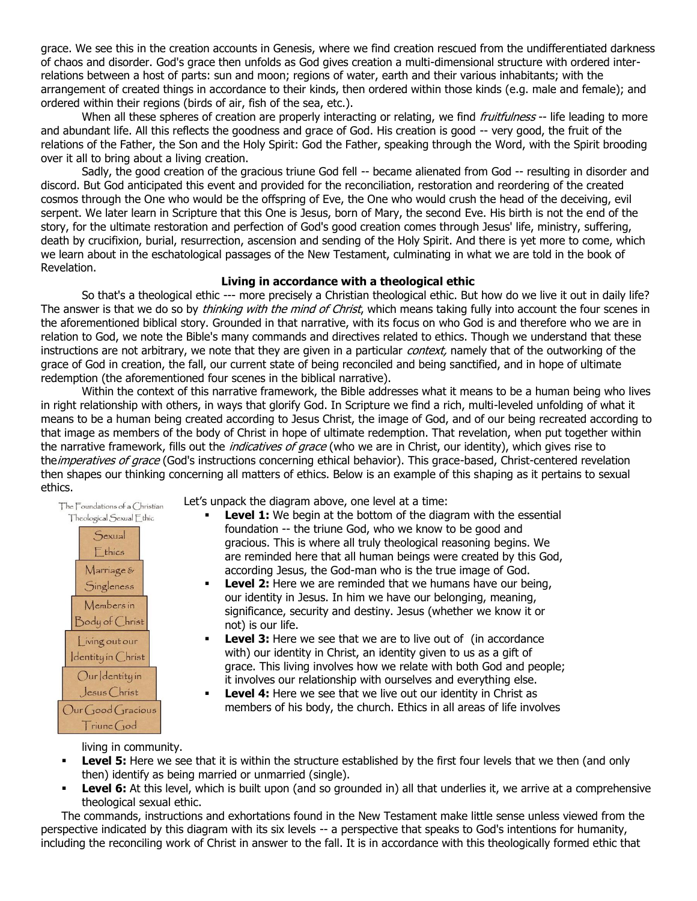grace. We see this in the creation accounts in Genesis, where we find creation rescued from the undifferentiated darkness of chaos and disorder. God's grace then unfolds as God gives creation a multi-dimensional structure with ordered interrelations between a host of parts: sun and moon; regions of water, earth and their various inhabitants; with the arrangement of created things in accordance to their kinds, then ordered within those kinds (e.g. male and female); and ordered within their regions (birds of air, fish of the sea, etc.).

When all these spheres of creation are properly interacting or relating, we find *fruitfulness* -- life leading to more and abundant life. All this reflects the goodness and grace of God. His creation is good -- very good, the fruit of the relations of the Father, the Son and the Holy Spirit: God the Father, speaking through the Word, with the Spirit brooding over it all to bring about a living creation.

Sadly, the good creation of the gracious triune God fell -- became alienated from God -- resulting in disorder and discord. But God anticipated this event and provided for the reconciliation, restoration and reordering of the created cosmos through the One who would be the offspring of Eve, the One who would crush the head of the deceiving, evil serpent. We later learn in Scripture that this One is Jesus, born of Mary, the second Eve. His birth is not the end of the story, for the ultimate restoration and perfection of God's good creation comes through Jesus' life, ministry, suffering, death by crucifixion, burial, resurrection, ascension and sending of the Holy Spirit. And there is yet more to come, which we learn about in the eschatological passages of the New Testament, culminating in what we are told in the book of Revelation.

### **Living in accordance with a theological ethic**

So that's a theological ethic --- more precisely a Christian theological ethic. But how do we live it out in daily life? The answer is that we do so by *thinking with the mind of Christ*, which means taking fully into account the four scenes in the aforementioned biblical story. Grounded in that narrative, with its focus on who God is and therefore who we are in relation to God, we note the Bible's many commands and directives related to ethics. Though we understand that these instructions are not arbitrary, we note that they are given in a particular *context*, namely that of the outworking of the grace of God in creation, the fall, our current state of being reconciled and being sanctified, and in hope of ultimate redemption (the aforementioned four scenes in the biblical narrative).

Within the context of this narrative framework, the Bible addresses what it means to be a human being who lives in right relationship with others, in ways that glorify God. In Scripture we find a rich, multi-leveled unfolding of what it means to be a human being created according to Jesus Christ, the image of God, and of our being recreated according to that image as members of the body of Christ in hope of ultimate redemption. That revelation, when put together within the narrative framework, fills out the *indicatives of grace* (who we are in Christ, our identity), which gives rise to the *imperatives of grace* (God's instructions concerning ethical behavior). This grace-based, Christ-centered revelation then shapes our thinking concerning all matters of ethics. Below is an example of this shaping as it pertains to sexual ethics.

The Foundations of a Christian Theological Sexual Ethic



Let's unpack the diagram above, one level at a time:

- **Level 1:** We begin at the bottom of the diagram with the essential foundation -- the triune God, who we know to be good and gracious. This is where all truly theological reasoning begins. We are reminded here that all human beings were created by this God, according Jesus, the God-man who is the true image of God.
- **Level 2:** Here we are reminded that we humans have our being, our identity in Jesus. In him we have our belonging, meaning, significance, security and destiny. Jesus (whether we know it or not) is our life.
- **Level 3:** Here we see that we are to live out of (in accordance with) our identity in Christ, an identity given to us as a gift of grace. This living involves how we relate with both God and people; it involves our relationship with ourselves and everything else.
- Level 4: Here we see that we live out our identity in Christ as members of his body, the church. Ethics in all areas of life involves

living in community.

- **Level 5:** Here we see that it is within the structure established by the first four levels that we then (and only then) identify as being married or unmarried (single).
- **Level 6:** At this level, which is built upon (and so grounded in) all that underlies it, we arrive at a comprehensive theological sexual ethic.

The commands, instructions and exhortations found in the New Testament make little sense unless viewed from the perspective indicated by this diagram with its six levels -- a perspective that speaks to God's intentions for humanity, including the reconciling work of Christ in answer to the fall. It is in accordance with this theologically formed ethic that